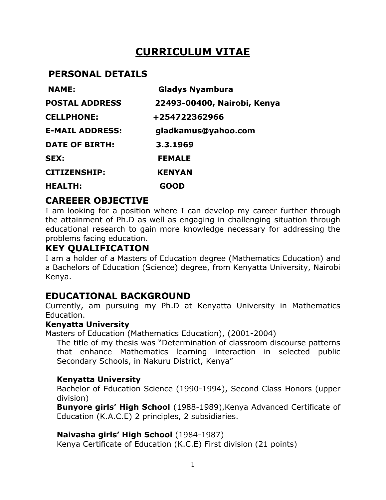# **CURRICULUM VITAE**

# **PERSONAL DETAILS**

| <b>NAME:</b>           | <b>Gladys Nyambura</b>      |
|------------------------|-----------------------------|
| <b>POSTAL ADDRESS</b>  | 22493-00400, Nairobi, Kenya |
| <b>CELLPHONE:</b>      | +254722362966               |
| <b>E-MAIL ADDRESS:</b> | gladkamus@yahoo.com         |
| <b>DATE OF BIRTH:</b>  | 3.3.1969                    |
| <b>SEX:</b>            | <b>FEMALE</b>               |
| <b>CITIZENSHIP:</b>    | <b>KENYAN</b>               |
| <b>HEALTH:</b>         | GOOD                        |

# **CAREEER OBJECTIVE**

I am looking for a position where I can develop my career further through the attainment of Ph.D as well as engaging in challenging situation through educational research to gain more knowledge necessary for addressing the problems facing education.

## **KEY QUALIFICATION**

I am a holder of a Masters of Education degree (Mathematics Education) and a Bachelors of Education (Science) degree, from Kenyatta University, Nairobi Kenya.

# **EDUCATIONAL BACKGROUND**

Currently, am pursuing my Ph.D at Kenyatta University in Mathematics Education.

## **Kenyatta University**

Masters of Education (Mathematics Education), (2001-2004)

The title of my thesis was "Determination of classroom discourse patterns that enhance Mathematics learning interaction in selected public Secondary Schools, in Nakuru District, Kenya"

## **Kenyatta University**

Bachelor of Education Science (1990-1994), Second Class Honors (upper division)

**Bunyore girls' High School** (1988-1989),Kenya Advanced Certificate of Education (K.A.C.E) 2 principles, 2 subsidiaries.

## **Naivasha girls' High School** (1984-1987)

Kenya Certificate of Education (K.C.E) First division (21 points)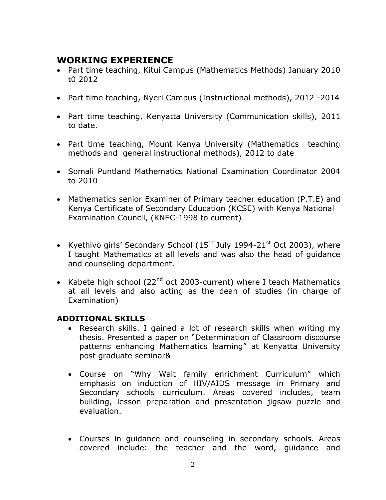# **WORKING EXPERIENCE**

- Part time teaching, Kitui Campus (Mathematics Methods) January 2010 t0 2012
- Part time teaching, Nyeri Campus (Instructional methods), 2012 -2014
- Part time teaching, Kenyatta University (Communication skills), 2011 to date.
- Part time teaching, Mount Kenya University (Mathematics teaching methods and general instructional methods), 2012 to date
- Somali Puntland Mathematics National Examination Coordinator 2004 to 2010
- Mathematics senior Examiner of Primary teacher education (P.T.E) and Kenya Certificate of Secondary Education (KCSE) with Kenya National Examination Council, (KNEC-1998 to current)
- Kyethivo girls' Secondary School ( $15<sup>th</sup>$  July 1994-21<sup>st</sup> Oct 2003), where I taught Mathematics at all levels and was also the head of guidance and counseling department.
- Kabete high school  $(22^{nd}$  oct 2003-current) where I teach Mathematics at all levels and also acting as the dean of studies (in charge of Examination)

## **ADDITIONAL SKILLS**

- Research skills. I gained a lot of research skills when writing my thesis. Presented a paper on "Determination of Classroom discourse patterns enhancing Mathematics learning" at Kenyatta University post graduate seminar&
- Course on "Why Wait family enrichment Curriculum" which emphasis on induction of HIV/AIDS message in Primary and Secondary schools curriculum. Areas covered includes, team building, lesson preparation and presentation jigsaw puzzle and evaluation.
- Courses in guidance and counseling in secondary schools. Areas covered include: the teacher and the word, guidance and